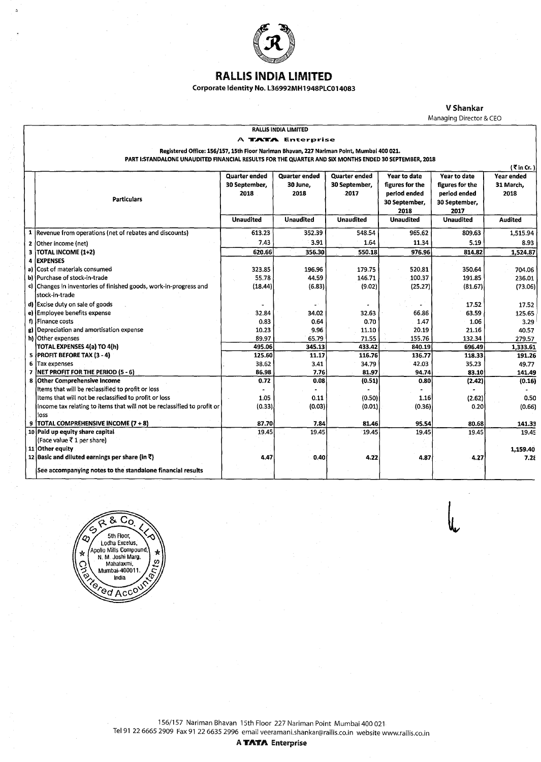

## RAlliS INDIA LIMITED

Corporate Identity No. L36992MH1948PLC014083

V Shankar

Managing Director & CEO

#### RALLIS INDIA LIMITED

RALLIS INDIA LIMITED<br>A**TATAE**nterprise<br>Registered Office: 156/157, 15th Floor Nariman Bhavan, 227 Nariman Point, Mumbai 400 021.

PART !:STANDALONE UNAUDITED FINANCIAL RESULTS FOR THE QUARTER AND SIX MONTHS ENDED 30 SEPTEMBER, 2018

|              | $\left($ $\vec{\tau}$ in Cr. ).                                         |                      |                      |                  |                  |                  |                |  |  |
|--------------|-------------------------------------------------------------------------|----------------------|----------------------|------------------|------------------|------------------|----------------|--|--|
|              |                                                                         | <b>Quarter ended</b> | <b>Quarter ended</b> | Quarter ended    | Year to date     | Year to date     | Year ended     |  |  |
|              |                                                                         | 30 September,        | 30 June.             | 30 September,    | figures for the  | figures for the  | 31 March.      |  |  |
|              |                                                                         | 2018                 | 2018                 | 2017             | period ended     | period ended     | 2018           |  |  |
|              | <b>Particulars</b>                                                      |                      |                      |                  | 30 September,    | 30 September,    |                |  |  |
|              |                                                                         |                      |                      |                  | 2018             | 2017             |                |  |  |
|              |                                                                         | <b>Unaudited</b>     | <b>Unaudited</b>     | <b>Unaudited</b> | <b>Unaudited</b> | <b>Unaudited</b> | <b>Audited</b> |  |  |
|              | 1 Revenue from operations (net of rebates and discounts)                | 613.23               | 352.39               | 548.54           | 965.62           | 809.63           | 1,515.94       |  |  |
| $\mathbf{z}$ | Other income (net)                                                      | 7.43                 | 3.91                 | 1.64             | 11.34            | 5.19             | 8.93           |  |  |
| з            | <b>TOTAL INCOME (1+2)</b>                                               | 620.66               | 356.30               | 550.18           | 976.96           | 814.82           | 1,524.87       |  |  |
| 4            | <b>EXPENSES</b>                                                         |                      |                      |                  |                  |                  |                |  |  |
|              | a) Cost of materials consumed                                           | 323.85               | 196.96               | 179.75           | 520.81           | 350.64           | 704.06         |  |  |
|              | b) Purchase of stock-in-trade                                           | 55.78                | 44.59                | 146.71           | 100.37           | 191.85           | 236.01         |  |  |
|              | c) Changes in inventories of finished goods, work-in-progress and       | (18.44)              | (6.83)               | (9.02)           | (25.27)          | (81.67)          | (73.06)        |  |  |
|              | stock-in-trade                                                          |                      |                      |                  |                  |                  |                |  |  |
|              | d) Excise duty on sale of goods                                         |                      |                      |                  |                  | 17.52            | 17.52          |  |  |
|              | e) Employee benefits expense                                            | 32.84                | 34.02                | 32.63            | 66.86            | 63.59            | 125.65         |  |  |
|              | f) Finance costs                                                        | 0.83                 | 0.64                 | 0.70             | 1.47             | 1.06             | 3.29           |  |  |
|              | g) Depreciation and amortisation expense                                | 10.23                | 9.96                 | 11.10            | 20.19            | 21.16            | 40.57          |  |  |
|              | h) Other expenses                                                       | 89.97                | 65.79                | 71.55            | 155.76           | 132.34           | 279.57         |  |  |
|              | TOTAL EXPENSES 4(a) TO 4(h)                                             | 495.06               | 345.13               | 433.42           | 840.19           | 696.49           | 1,333.61       |  |  |
|              | 5 PROFIT BEFORE TAX (3 - 4)                                             | 125.60               | 11.17                | 116.76           | 136.77           | 118.33           | 191.26         |  |  |
| 6            | Tax expenses                                                            | 38.62                | 3.41                 | 34.79            | 42.03            | 35.23            | 49.77          |  |  |
| 7            | NET PROFIT FOR THE PERIOD (5 - 6)                                       | 86.98                | 7.76                 | 81.97            | 94.74            | 83.10            | 141.49         |  |  |
|              | 8 Other Comprehensive Income                                            | 0.72                 | 0.08                 | (0.51)           | 0.80             | (2.42)           | (0.16)         |  |  |
|              | Items that will be reclassified to profit or loss                       |                      |                      |                  |                  |                  |                |  |  |
|              | Items that will not be reclassified to profit or loss                   | 1.05                 | 0.11                 | (0.50)           | 1.16             | (2.62)           | 0.50           |  |  |
|              | Income tax relating to items that will not be reclassified to profit or | (0.33)               | (0.03)               | (0.01)           | (0.36)           | 0.20             | (0.66)         |  |  |
|              | lloss                                                                   |                      |                      |                  |                  |                  |                |  |  |
| 9            | TOTAL COMPREHENSIVE INCOME (7 + 8)                                      | 87.70                | 7.84                 | 81.46            | 95.54            | 80.68            | 141.33         |  |  |
|              | 10 Paid up equity share capital                                         | 19.45                | 19.45                | 19.45            | 19.45            | 19.45            | 19.45          |  |  |
|              | (Face value ₹ 1 per share)                                              |                      |                      |                  |                  |                  |                |  |  |
|              | 11 Other equity                                                         |                      |                      |                  |                  |                  | 1,159.40       |  |  |
|              | 12 Basic and diluted earnings per share (in $\bar{x}$ )                 | 4.47                 | 0.40                 | 4.22             | 4.87             | 4.27             | 7.28           |  |  |
|              | See accompanying notes to the standalone financial results              |                      |                      |                  |                  |                  |                |  |  |



156/157 Nariman Bhavan 15th Floor 227 Nariman Point Mumbai 400 021 Tel 91 22 6665 2909 Fax 91 22 6635 2996 email veeramani.shankar@rallis.co.in website www.rallis.co.in

A TATA Enterprise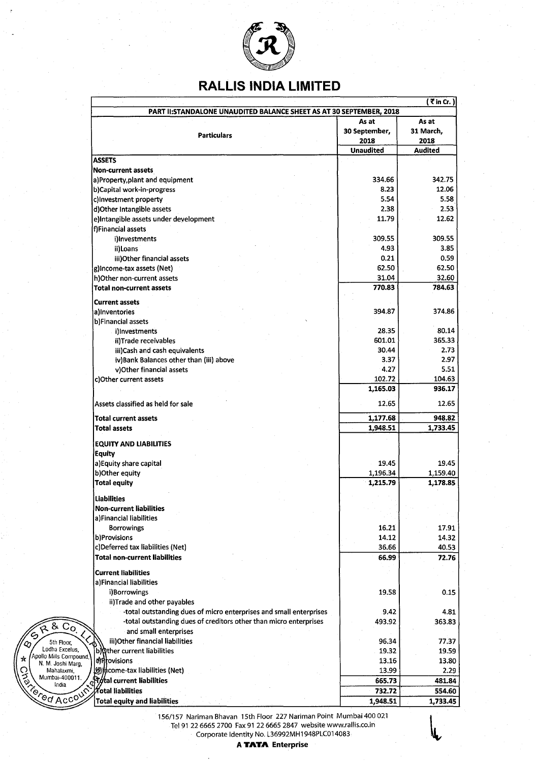

# **RALLIS INDIA LIMITED**

| PART II: STANDALONE UNAUDITED BALANCE SHEET AS AT 30 SEPTEMBER, 2018<br><b>Particulars</b><br><b>ASSETS</b><br><b>Non-current assets</b>              | As at<br>30 September,<br>2018 | As at<br>31 March,   |
|-------------------------------------------------------------------------------------------------------------------------------------------------------|--------------------------------|----------------------|
|                                                                                                                                                       |                                |                      |
|                                                                                                                                                       |                                |                      |
|                                                                                                                                                       |                                |                      |
|                                                                                                                                                       |                                | 2018                 |
|                                                                                                                                                       | <b>Unaudited</b>               | <b>Audited</b>       |
|                                                                                                                                                       |                                |                      |
|                                                                                                                                                       |                                |                      |
| a)Property, plant and equipment                                                                                                                       | 334.66                         | 342.75               |
| b)Capital work-in-progress                                                                                                                            | 8.23                           | 12.06                |
| c)Investment property                                                                                                                                 | 5.54                           | 5.58                 |
| d) Other Intangible assets                                                                                                                            | 2.38                           | 2.53                 |
| e)Intangible assets under development                                                                                                                 | 11.79                          | 12.62                |
| f)Financial assets                                                                                                                                    |                                |                      |
| i)Investments                                                                                                                                         | 309.55                         | 309.55               |
| ii)Loans                                                                                                                                              | 4.93                           | 3.85                 |
| iii) Other financial assets                                                                                                                           | 0.21                           | 0.59                 |
| g)Income-tax assets (Net)                                                                                                                             | 62.50                          | 62.50                |
| h)Other non-current assets                                                                                                                            | 31.04                          | 32.60                |
| <b>Total non-current assets</b>                                                                                                                       | 770.83                         | 784.63               |
| <b>Current assets</b>                                                                                                                                 |                                |                      |
| a)Inventories                                                                                                                                         | 394.87                         | 374.86               |
| b)Financial assets                                                                                                                                    |                                |                      |
| i)Investments                                                                                                                                         | 28.35                          | 80.14                |
| ii)Trade receivables                                                                                                                                  | 601.01                         | 365.33               |
| iii)Cash and cash equivalents                                                                                                                         | 30.44                          | 2.73                 |
| iv) Bank Balances other than (iii) above                                                                                                              | 3.37                           | 2.97                 |
| v) Other financial assets                                                                                                                             | 4.27                           | 5.51                 |
| c)Other current assets                                                                                                                                | 102.72                         | 104.63               |
|                                                                                                                                                       | 1,165.03                       | 936.17               |
|                                                                                                                                                       |                                |                      |
| Assets classified as held for sale                                                                                                                    | 12.65                          | 12.65                |
| Total current assets                                                                                                                                  | 1,177.68                       | 948.82               |
| <b>Total assets</b>                                                                                                                                   | 1,948.51                       | 1,733.45             |
|                                                                                                                                                       |                                |                      |
| <b>EQUITY AND LIABILITIES</b>                                                                                                                         |                                |                      |
| Equity                                                                                                                                                |                                | 19.45                |
| a)Equity share capital                                                                                                                                | 19.45                          |                      |
| b)Other equity<br><b>Total equity</b>                                                                                                                 | 1,196.34<br>1,215.79           | 1,159.40<br>1,178.85 |
|                                                                                                                                                       |                                |                      |
| <b>Liabilities</b>                                                                                                                                    |                                |                      |
| Non-current liabilities                                                                                                                               |                                |                      |
| a)Financial liabilities                                                                                                                               |                                |                      |
| <b>Borrowings</b>                                                                                                                                     | 16.21                          | 17.91                |
| b)Provisions                                                                                                                                          | 14.12                          | 14.32                |
| c)Deferred tax liabilities (Net)                                                                                                                      | 36.66                          | 40.53                |
| Total non-current liabilities                                                                                                                         | 66.99                          | 72.76                |
| <b>Current liabilities</b>                                                                                                                            |                                |                      |
| a)Financial liabilities                                                                                                                               |                                |                      |
| i)Borrowings                                                                                                                                          | 19.58                          | 0.15                 |
| ii)Trade and other payables                                                                                                                           |                                |                      |
| -total outstanding dues of micro enterprises and small enterprises                                                                                    | 9.42                           | 4.81                 |
| -total outstanding dues of creditors other than micro enterprises                                                                                     | 493.92                         | 363.83               |
| 6800<br>and small enterprises                                                                                                                         |                                |                      |
| iii)Other financial liabilities                                                                                                                       | 96.34                          | 77.37                |
| 5th Floor,<br>∕⊘<br>Lodha Excelus,<br>b) ther current liabilities                                                                                     | 19.32                          | 19.59                |
| Apollo Mills Compound,<br>★<br><b>A</b> Provisions                                                                                                    | 13.16                          | 13.80                |
| N. M. Joshi Marg,<br>(@)္Mcome-tax liabilities (Net)                                                                                                  | 13.99                          | 2.29                 |
|                                                                                                                                                       | 665.73                         | 481.84               |
|                                                                                                                                                       | 732.72                         | 554.60               |
|                                                                                                                                                       | 1,948.51                       | 1,733.45             |
| Mahalaxmi, Mahalaxmi, Mumbai-400011.<br>Mumbai-400011. Total current liabilities<br>CO ACCOUNTOtal liabilities<br><b>Total equity and liabilities</b> |                                |                      |

156/157 Nariman Bhavan 15th Floor 227 Nariman Point Mumbai 400 021 Tel 91 22 6665 2700 Fax 91 22 6665 2847 website www.rallis.co.in Corporate Identity No. L36992MH 1948PLC014083